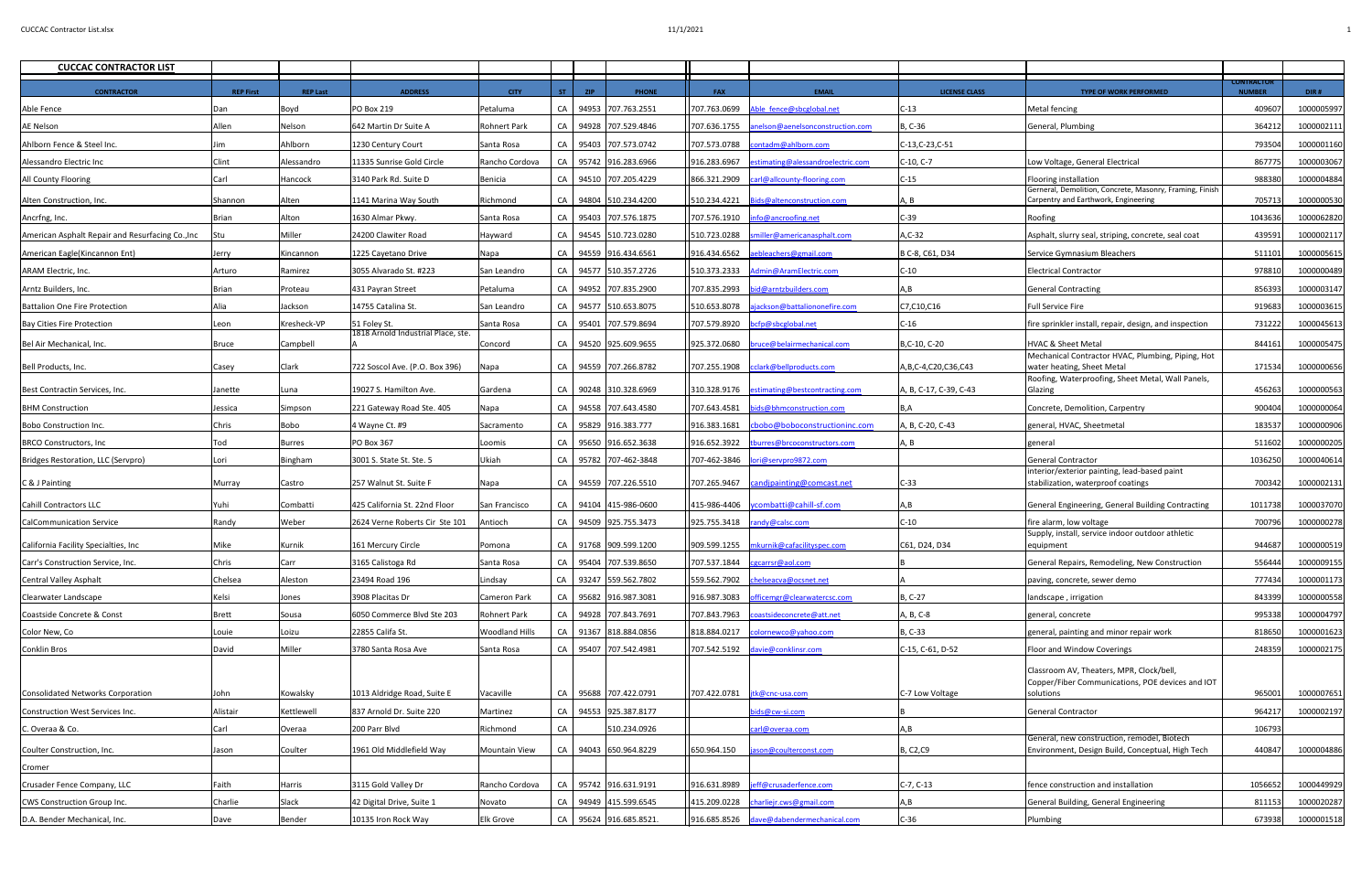| <b>CUCCAC CONTRACTOR LIST</b>                    |                  |                 |                                    |                       |     |            |                         |              |                                                    |                          |                                                                                                  |                                    |            |
|--------------------------------------------------|------------------|-----------------|------------------------------------|-----------------------|-----|------------|-------------------------|--------------|----------------------------------------------------|--------------------------|--------------------------------------------------------------------------------------------------|------------------------------------|------------|
| <b>CONTRACTOR</b>                                | <b>REP First</b> | <b>REP Last</b> | <b>ADDRESS</b>                     | <b>CITY</b>           | ST. | <b>ZIP</b> | <b>PHONE</b>            | <b>FAX</b>   | <b>EMAIL</b>                                       | <b>LICENSE CLASS</b>     | <b>TYPE OF WORK PERFORMED</b>                                                                    | <b>CONTRACTOR</b><br><b>NUMBER</b> | DIR#       |
| Able Fence                                       | Dan              | Boyd            | <b>PO Box 219</b>                  | Petaluma              |     |            | CA 94953 707.763.2551   |              | 707.763.0699 Able fence@sbcglobal.net              | $C-13$                   | Metal fencing                                                                                    | 409607                             | 1000005997 |
| <b>AE Nelson</b>                                 | Allen            | Nelson          | 642 Martin Dr Suite A              | <b>Rohnert Park</b>   |     |            | CA 94928 707.529.4846   |              | 707.636.1755 anelson@aenelsonconstruction.com      | B, C-36                  | General, Plumbing                                                                                | 364212                             | 1000002111 |
| Ahlborn Fence & Steel Inc.                       |                  | Ahlborn         | 1230 Century Court                 | Santa Rosa            |     |            | CA 95403 707.573.0742   |              | 707.573.0788   contadm@ahlborn.com                 | C-13, C-23, C-51         |                                                                                                  | 79350                              | 1000001160 |
| Alessandro Electric Inc                          | Clint            | Alessandro      | 11335 Sunrise Gold Circle          | Rancho Cordova        |     |            | CA 95742 916.283.6966   | 916.283.6967 | estimating@alessandroelectric.com                  | $C-10, C-7$              | Low Voltage, General Electrical                                                                  | 867775                             | 1000003067 |
| <b>All County Flooring</b>                       | Carl             | Hancock         | 3140 Park Rd. Suite D              | Benicia               |     |            | CA 94510 707.205.4229   |              | 866.321.2909  carl@allcounty-flooring.com          | $C-15$                   | Flooring installation                                                                            | 988380                             | 1000004884 |
| Alten Construction, Inc.                         | Shannon          | Alten           | 1141 Marina Way South              | Richmond              |     |            | CA 94804 510.234.4200   |              | 510.234.4221   Bids@altenconstruction.com          | A, B                     | Gerneral, Demolition, Concrete, Masonry, Framing, Finish<br>Carpentry and Earthwork, Engineering | 705713                             | 1000000530 |
| Ancrfng, Inc.                                    | <b>Brian</b>     | Alton           | 1630 Almar Pkwy.                   | Santa Rosa            |     |            | CA 95403 707.576.1875   |              | 707.576.1910   info@ancroofing.net                 | $C-39$                   | Roofing                                                                                          | 1043636                            | 1000062820 |
| American Asphalt Repair and Resurfacing Co., Inc | <b>Stu</b>       | Miller          | 24200 Clawiter Road                | Hayward               |     |            | CA 94545 510.723.0280   |              | 510.723.0288  smiller@americanasphalt.com          | $A, C-32$                | Asphalt, slurry seal, striping, concrete, seal coat                                              | 43959                              | 1000002117 |
| American Eagle (Kincannon Ent)                   | Jerry            | Kincannon       | 1225 Cayetano Drive                | Napa                  |     |            | CA 94559 916.434.6561   |              | 916.434.6562 aebleachers@gmail.com                 | B C-8, C61, D34          | Service Gymnasium Bleachers                                                                      | 511101                             | 1000005615 |
| ARAM Electric, Inc.                              | Arturo           | Ramirez         | 3055 Alvarado St. #223             | San Leandro           |     |            | CA 94577 510.357.2726   |              | 510.373.2333 Admin@AramElectric.com                | $C-10$                   | <b>Electrical Contractor</b>                                                                     | 978810                             | 1000000489 |
| Arntz Builders, Inc.                             | Brian            | Proteau         | 431 Payran Street                  | Petaluma              |     |            | CA 94952 707.835.2900   | 707.835.2993 | bid@arntzbuilders.com                              |                          | <b>General Contracting</b>                                                                       | 856393                             | 1000003147 |
| <b>Battalion One Fire Protection</b>             | Alia             | Jackson         | 14755 Catalina St.                 | San Leandro           |     |            | CA 94577 510.653.8075   | 510.653.8078 | ajackson@battaliononefire.com                      | C7,C10,C16               | <b>Full Service Fire</b>                                                                         | 91968                              | 1000003615 |
| Bay Cities Fire Protection                       | Leon             | Kresheck-VP     | 51 Foley St.                       | Santa Rosa            |     |            | CA 95401 707.579.8694   |              | 707.579.8920   bcfp@sbcglobal.net                  | $C-16$                   | fire sprinkler install, repair, design, and inspection                                           | 731222                             | 1000045613 |
| Bel Air Mechanical, Inc.                         | Bruce            | Campbell        | 1818 Arnold Industrial Place, ste. | Concord               |     |            | CA 94520 925.609.9655   |              | 925.372.0680   bruce@belairmechanical.com          | B,C-10, C-20             | HVAC & Sheet Metal                                                                               | 844161                             | 1000005475 |
|                                                  |                  |                 |                                    |                       |     |            |                         |              |                                                    |                          | Mechanical Contractor HVAC, Plumbing, Piping, Hot                                                |                                    |            |
| Bell Products, Inc.                              | Casey            | Clark           | 722 Soscol Ave. (P.O. Box 396)     | Napa                  |     |            | CA 94559 707.266.8782   | 707.255.1908 | cclark@bellproducts.com                            | A, B, C-4, C20, C36, C43 | water heating, Sheet Metal<br>Roofing, Waterproofing, Sheet Metal, Wall Panels,                  | 171534                             | 1000000656 |
| Best Contractin Services, Inc.                   | Janette          | Luna            | 19027 S. Hamilton Ave.             | Gardena               |     |            | CA 90248 310.328.6969   |              | 310.328.9176 estimating@bestcontracting.com        | A, B, C-17, C-39, C-43   | Glazing                                                                                          | 456263                             | 1000000563 |
| <b>BHM</b> Construction                          | Jessica          | Simpson         | 221 Gateway Road Ste. 405          | Napa                  |     |            | CA 94558 707.643.4580   |              | 707.643.4581   bids@bhmconstruction.com            | B,A                      | Concrete, Demolition, Carpentry                                                                  | 900404                             | 1000000064 |
| Bobo Construction Inc.                           | <b>Chris</b>     | Bobo            | 4 Wayne Ct. #9                     | Sacramento            |     |            | CA 95829 916.383.777    |              | 916.383.1681 cbobo@boboconstructioninc.com         | A, B, C-20, C-43         | general, HVAC, Sheetmetal                                                                        | 18353                              | 1000000906 |
| <b>BRCO Constructors, Inc</b>                    | Tod              | <b>Burres</b>   | <b>PO Box 367</b>                  | Loomis                |     |            | CA 95650 916.652.3638   |              | 916.652.3922 tburres@brcoconstructors.com          | A, B                     | general                                                                                          | 511602                             | 1000000205 |
| Bridges Restoration, LLC (Servpro)               | Lori             | Bingham         | 3001 S. State St. Ste. 5           | Ukiah                 |     |            | CA 95782 707-462-3848   |              | 707-462-3846   <u>Iori@servpro9872.com</u>         |                          | <b>General Contractor</b>                                                                        | 1036250                            | 1000040614 |
| C & J Painting                                   | Murray           | Castro          | 257 Walnut St. Suite F             | Napa                  |     |            | CA 94559 707.226.5510   |              | 707.265.9467   candipainting@comcast.net           | $C-33$                   | interior/exterior painting, lead-based paint<br>stabilization, waterproof coatings               | 700342                             | 1000002131 |
| Cahill Contractors LLC                           | Yuhi             | Combatti        | 425 California St. 22nd Floor      | San Francisco         |     |            | CA 94104 415-986-0600   |              | 415-986-4406   ycombatti@cahill-sf.com             | A,B                      | General Engineering, General Building Contracting                                                | 1011738                            | 1000037070 |
| CalCommunication Service                         | Randy            | Weber           | 2624 Verne Roberts Cir Ste 101     | Antioch               |     |            | CA 94509 925.755.3473   |              | $925.755.3418$ $\frac{  \text{randy@calc.com}}{ }$ | $C-10$                   | fire alarm, low voltage                                                                          | 700796                             | 1000000278 |
|                                                  |                  |                 |                                    |                       |     |            |                         |              |                                                    |                          | Supply, install, service indoor outdoor athletic                                                 |                                    |            |
| California Facility Specialties, Inc.            | Mike             | Kurnik          | 161 Mercury Circle                 | Pomona                |     |            | CA 91768 909.599.1200   |              | 909.599.1255   mkurnik@cafacilityspec.com          | C61, D24, D34            | equipment                                                                                        | 944687                             | 1000000519 |
| Carr's Construction Service, Inc.                | Chris            | Carr            | 3165 Calistoga Rd                  | Santa Rosa            |     |            | CA 95404 707.539.8650   |              | 707.537.1844   cgcarrsr@aol.com                    |                          | General Repairs, Remodeling, New Construction                                                    | 556444                             | 1000009155 |
| Central Valley Asphalt                           | Chelsea          | Aleston         | 23494 Road 196                     | Lindsay               |     |            | CA 93247 559.562.7802   |              | 559.562.7902  chelseacva@ocsnet.net                |                          | paving, concrete, sewer demo                                                                     | 777434                             | 1000001173 |
| Clearwater Landscape                             | Kelsi            | Jones           | 3908 Placitas Dr                   | Cameron Park          |     |            | CA 95682 916.987.3081   |              | 916.987.3083 officemgr@clearwatercsc.com           | B, C-27                  | landscape, irrigation                                                                            | 843399                             | 1000000558 |
| Coastside Concrete & Const                       | Brett            | Sousa           | 6050 Commerce Blvd Ste 203         | Rohnert Park          |     |            | CA 94928 707.843.7691   |              | 707.843.7963   coastsideconcrete@att.net           | A, B, C-8                | general, concrete                                                                                | 995338                             | 1000004797 |
| Color New, Co                                    | Louie            | Loizu           | 22855 Califa St.                   | <b>Woodland Hills</b> |     |            | CA 91367 818.884.0856   |              | 818.884.0217 colornewco@yahoo.com                  | B, C-33                  | general, painting and minor repair work                                                          | 818650                             | 1000001623 |
| Conklin Bros                                     | David            | Miller          | 3780 Santa Rosa Ave                | Santa Rosa            |     |            | CA 95407 707.542.4981   |              | 707.542.5192 davie@conklinsr.com                   | C-15, C-61, D-52         | <b>Floor and Window Coverings</b>                                                                | 248359                             | 1000002175 |
|                                                  |                  |                 |                                    |                       |     |            |                         |              |                                                    |                          | Classroom AV, Theaters, MPR, Clock/bell,<br>Copper/Fiber Communications, POE devices and IOT     |                                    |            |
| Consolidated Networks Corporation                | John             | Kowalsky        | 1013 Aldridge Road, Suite E        | Vacaville             |     |            | CA 95688 707.422.0791   |              | 707.422.0781   jtk@cnc-usa.com                     | C-7 Low Voltage          | solutions                                                                                        | 965001                             | 1000007651 |
| Construction West Services Inc.                  | Alistair         | Kettlewell      | 837 Arnold Dr. Suite 220           | Martinez              |     |            | CA 94553 925.387.8177   |              | pids@cw-si.com                                     |                          | General Contractor                                                                               | 96421                              | 1000002197 |
| C. Overaa & Co.                                  | Carl             | Overaa          | 200 Parr Blvd                      | Richmond              | CA  |            | 510.234.0926            |              | carl@overaa.com                                    | A, B                     |                                                                                                  | 106793                             |            |
| Coulter Construction, Inc.                       | Jason            | Coulter         | 1961 Old Middlefield Way           | <b>Mountain View</b>  |     |            | CA 94043 650.964.8229   | 650.964.150  | ason@coulterconst.com                              | <b>B, C2, C9</b>         | General, new construction, remodel, Biotech<br>Environment, Design Build, Conceptual, High Tech  | 440847                             | 1000004886 |
| Cromer                                           |                  |                 |                                    |                       |     |            |                         |              |                                                    |                          |                                                                                                  |                                    |            |
| Crusader Fence Company, LLC                      | Faith            | Harris          | 3115 Gold Valley Dr                | Rancho Cordova        |     |            | CA   95742 916.631.9191 |              | 916.631.8989  jeff@crusaderfence.com               | $C-7, C-13$              | fence construction and installation                                                              | 1056652                            | 1000449929 |
| <b>CWS Construction Group Inc.</b>               | Charlie          | Slack           | 42 Digital Drive, Suite 1          | Novato                |     |            | CA 94949 415.599.6545   |              | 415.209.0228 charliejr.cws@gmail.com               | A,B                      | General Building, General Engineering                                                            | 81115                              | 1000020287 |
| D.A. Bender Mechanical, Inc.                     | Dave             | Bender          | 10135 Iron Rock Way                | <b>Elk Grove</b>      |     |            | CA 95624 916.685.8521.  |              | 916.685.8526 dave@dabendermechanical.com           | $C-36$                   | Plumbing                                                                                         | 673938                             | 1000001518 |
|                                                  |                  |                 |                                    |                       |     |            |                         |              |                                                    |                          |                                                                                                  |                                    |            |

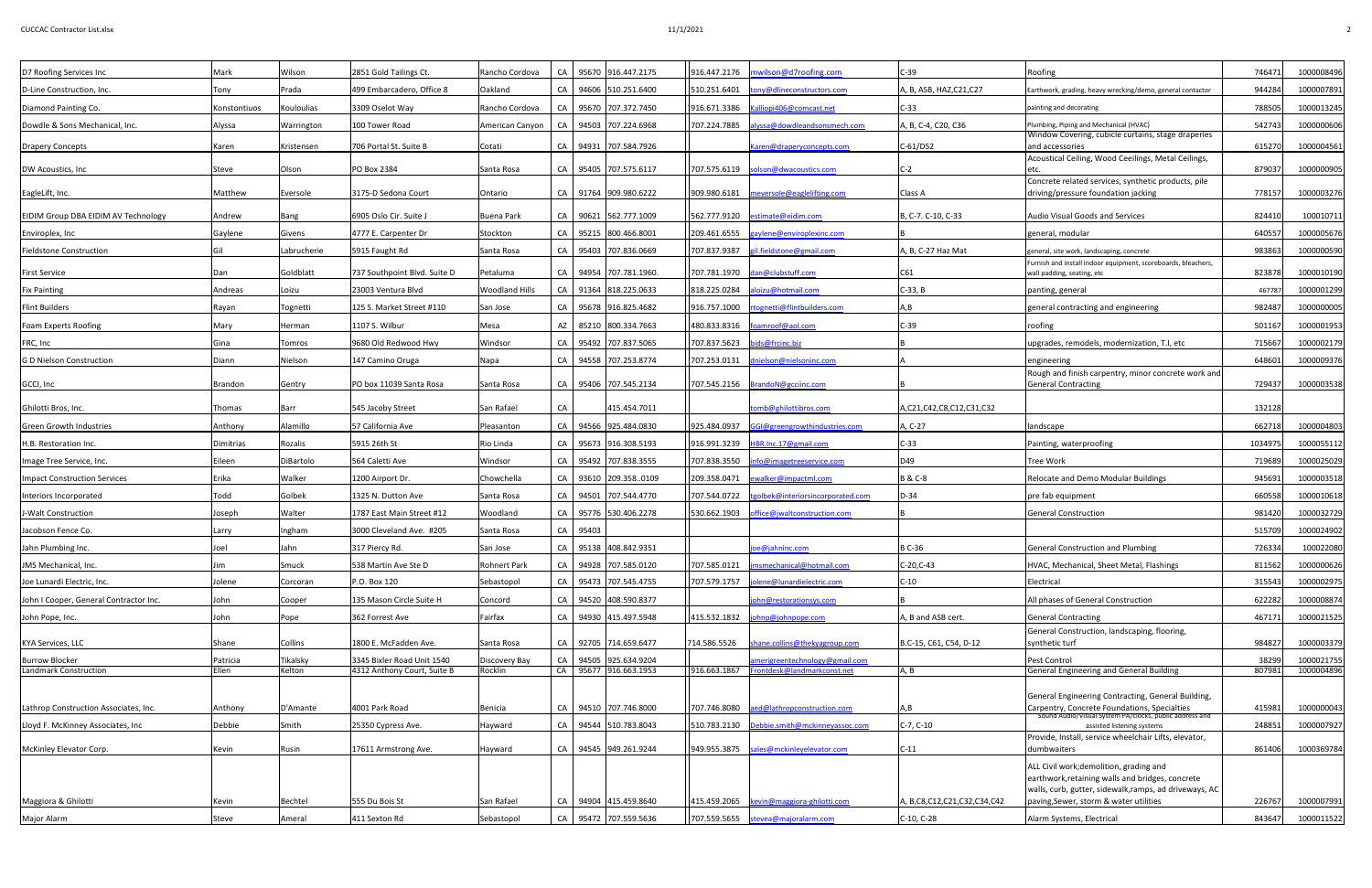| D7 Roofing Services Inc                               | Mark              | Wilson             | 2851 Gold Tailings Ct.                                    | Rancho Cordova           |    |          | CA 95670 916.447.2175                          |              | 916.447.2176   mwilson@d7roofing.com                          | $C-39$                      | Roofing                                                                                                                                                                                         | 746471         | 1000008496               |
|-------------------------------------------------------|-------------------|--------------------|-----------------------------------------------------------|--------------------------|----|----------|------------------------------------------------|--------------|---------------------------------------------------------------|-----------------------------|-------------------------------------------------------------------------------------------------------------------------------------------------------------------------------------------------|----------------|--------------------------|
| D-Line Construction, Inc.                             | Tony              | Prada              | 499 Embarcadero, Office 8                                 | Oakland                  |    |          | CA 94606 510.251.6400                          |              | 510.251.6401 tony@dlineconstructors.com                       | A, B, ASB, HAZ, C21, C27    | Earthwork, grading, heavy wrecking/demo, general contactor                                                                                                                                      | 944284         | 1000007891               |
| Diamond Painting Co.                                  | Konstontiuos      | Kouloulias         | 3309 Oselot Way                                           | Rancho Cordova           |    |          | CA 95670 707.372.7450                          |              |                                                               | $C-33$                      | painting and decorating                                                                                                                                                                         | 78850          | 1000013245               |
| Dowdle & Sons Mechanical, Inc.                        | Alyssa            | Warrington         | 100 Tower Road                                            | American Canyon          |    |          | CA 94503 707.224.6968                          |              | 707.224.7885 alyssa@dowdleandsonsmech.com                     | A, B, C-4, C20, C36         | Plumbing, Piping and Mechanical (HVAC)                                                                                                                                                          | 542743         | 1000000606               |
| Drapery Concepts                                      | Karen             | Kristensen         | 706 Portal St. Suite B                                    | Cotati                   |    |          | CA 94931 707.584.7926                          |              | Karen@draperyconcepts.com                                     | $C-61/D52$                  | Window Covering, cubicle curtains, stage draperies<br>and accessories                                                                                                                           | 615270         | 1000004561               |
| DW Acoustics, Inc.                                    | Steve             | Olson              | <b>PO Box 2384</b>                                        | Santa Rosa               |    |          | CA 95405 707.575.6117                          |              | 707.575.6119  solson@dwacoustics.com                          | $C-2$                       | Acoustical Ceiling, Wood Ceeilings, Metal Ceilings,                                                                                                                                             | 87903          | 1000000905               |
|                                                       |                   |                    |                                                           |                          |    |          |                                                |              |                                                               |                             | Concrete related services, synthetic products, pile                                                                                                                                             |                |                          |
| EagleLift, Inc.                                       | Matthew           | Eversole           | 3175-D Sedona Court                                       | Ontario                  |    |          | CA 91764 909.980.6222                          |              | 909.980.6181   meversole@eaglelifting.com                     | <b>Class A</b>              | driving/pressure foundation jacking                                                                                                                                                             | 778157         | 1000003276               |
| <b>EIDIM Group DBA EIDIM AV Technology</b>            | Andrew            | Bang               | 6905 Oslo Cir. Suite J                                    | Buena Park               |    |          | CA 90621 562.777.1009                          |              | 562.777.9120 estimate@eidim.com                               | B, C-7. C-10, C-33          | Audio Visual Goods and Services                                                                                                                                                                 | 824410         | 100010711                |
| Enviroplex, Inc                                       | Gaylene           | Givens             | 4777 E. Carpenter Dr                                      | Stockton                 |    |          | CA 95215 800.466.8001                          | 209.461.6555 | gaylene@enviroplexinc.com                                     |                             | general, modular                                                                                                                                                                                | 64055          | 1000005676               |
| <b>Fieldstone Construction</b>                        |                   | Labrucherie        | 5915 Faught Rd                                            | Santa Rosa               |    |          | CA 95403 707.836.0669                          | 707.837.9387 | gil.fieldstone@gmail.com                                      | A, B, C-27 Haz Mat          | general, site work, landscaping, concrete                                                                                                                                                       | 983863         | 1000000590               |
| <b>First Service</b>                                  | Dan               | Goldblatt          | 737 Southpoint Blvd. Suite D                              | Petaluma                 |    |          | CA 94954 707.781.1960.                         |              | 707.781.1970 dan@clubstuff.com                                | C61                         | Furnish and install indoor equipment, scoreboards, bleachers,<br>wall padding, seating, etc                                                                                                     | 823878         | 1000010190               |
| <b>Fix Painting</b>                                   | Andreas           | Loizu              | 23003 Ventura Blvd                                        | <b>Woodland Hills</b>    |    |          | CA 91364 818.225.0633                          | 818.225.0284 | aloizu@hotmail.com                                            | $C-33, B$                   | panting, general                                                                                                                                                                                | 46778          | 1000001299               |
| <b>Flint Builders</b>                                 | Rayan             | Tognetti           | 125 S. Market Street #110                                 | San Jose                 |    |          | CA 95678 916.825.4682                          |              | 916.757.1000 rtognetti@flintbuilders.com                      | A,B                         | general contracting and engineering                                                                                                                                                             | 982487         | 1000000005               |
| <b>Foam Experts Roofing</b>                           | Mary              | Herman             | 1107 S. Wilbur                                            | Mesa                     |    |          | AZ 85210 800.334.7663                          | 480.833.8316 | foamroof@aol.com                                              | $C-39$                      | roofing                                                                                                                                                                                         | 501167         | 1000001953               |
| FRC, Inc                                              | Gina              | <b>Tomros</b>      | 9680 Old Redwood Hwy                                      | Windsor                  |    |          | CA 95492 707.837.5065                          |              | 707.837.5623 bids@frcinc.biz                                  |                             | upgrades, remodels, modernization, T.I, etc                                                                                                                                                     | 715667         | 1000002179               |
| <b>G D Nielson Construction</b>                       | Diann             | Nielson            | 147 Camino Oruga                                          | Napa                     |    |          | CA 94558 707.253.8774                          |              | 707.253.0131 dnielson@nielsoninc.com                          |                             | engineering                                                                                                                                                                                     | 648601         | 1000009376               |
| GCCI, Inc                                             | Brandon           | Gentry             | PO box 11039 Santa Rosa                                   | Santa Rosa               |    |          | CA 95406 707.545.2134                          |              | 707.545.2156 BrandoN@gcciinc.com                              |                             | Rough and finish carpentry, minor concrete work and<br>General Contracting                                                                                                                      | 729437         | 1000003538               |
| Ghilotti Bros, Inc.                                   | Thomas            | Barr               | 545 Jacoby Street                                         | San Rafael               | CA |          | 415.454.7011                                   |              | omb@ghilottibros.com                                          | A,C21,C42,C8,C12,C31,C32    |                                                                                                                                                                                                 | 132128         |                          |
| <b>Green Growth Industries</b>                        | Anthony           | Alamillo           | 57 California Ave                                         | Pleasanton               |    |          | CA 94566 925.484.0830                          | 925.484.0937 | GGI@greengrowthindustries.com                                 | A, C-27                     | landscape                                                                                                                                                                                       | 662718         | 1000004803               |
| H.B. Restoration Inc.                                 | Dimitrias         | Rozalis            | 5915 26th St                                              | Rio Linda                |    |          | CA 95673 916.308.5193                          | 916.991.3239 | HBR.Inc.17@gmail.com                                          | $C-33$                      | Painting, waterproofing                                                                                                                                                                         | 103497         | 1000055112               |
| Image Tree Service, Inc.                              | Eileen            | DiBartolo          | 564 Caletti Ave                                           | Windsor                  |    |          | CA 95492 707.838.3555                          |              | 707.838.3550 info@imagetreeservice.com                        | D49                         | <b>Tree Work</b>                                                                                                                                                                                | 71968          | 1000025029               |
| Impact Construction Services                          | Erika             | Walker             | 1200 Airport Dr.                                          | Chowchella               |    |          | CA 93610 209.358.0109                          |              | 209.358.0471 ewalker@impactml.com                             | <b>B &amp; C-8</b>          | Relocate and Demo Modular Buildings                                                                                                                                                             | 945691         | 1000003518               |
| Interiors Incorporated                                | Todd              | Golbek             | 1325 N. Dutton Ave                                        | Santa Rosa               |    |          | CA 94501 707.544.4770                          | 707.544.0722 | tgolbek@interiorsincorporated.com                             | $D-34$                      | pre fab equipment                                                                                                                                                                               | 660558         | 1000010618               |
| J-Walt Construction                                   | Joseph            | Walter             | 1787 East Main Street #12                                 | Woodland                 |    |          | CA 95776 530.406.2278                          | 530.662.1903 | office@jwaltconstruction.com                                  |                             | General Construction                                                                                                                                                                            | 981420         | 1000032729               |
| Jacobson Fence Co.                                    | Larry             | Ingham             | 3000 Cleveland Ave. #205                                  | Santa Rosa               |    | CA 95403 |                                                |              |                                                               |                             |                                                                                                                                                                                                 | 51570          | 1000024902               |
| Jahn Plumbing Inc.                                    | Joel              | Jahn               | 317 Piercy Rd.                                            | San Jose                 |    |          | CA 95138 408.842.9351                          |              | joe@jahninc.com                                               | <b>B</b> C-36               | General Construction and Plumbing                                                                                                                                                               | 726334         | 100022080                |
| JMS Mechanical, Inc.                                  |                   | Smuck              | 538 Martin Ave Ste D                                      | Rohnert Park             |    |          | CA 94928 707.585.0120                          |              | 707.585.0121   jmsmechanical@hotmail.com                      | $C-20, C-43$                | HVAC, Mechanical, Sheet Metal, Flashings                                                                                                                                                        | 811562         | 1000000626               |
| Joe Lunardi Electric, Inc.                            | Jolene            | Corcoran           | P.O. Box 120                                              | Sebastopol               |    |          | CA 95473 707.545.4755                          | 707.579.1757 | jolene@lunardielectric.com                                    | $C-10$                      | Electrical                                                                                                                                                                                      | 315543         | 1000002975               |
| John I Cooper, General Contractor Inc.                | John              | Cooper             | 135 Mason Circle Suite H                                  | Concord                  |    |          | CA 94520 408.590.8377                          |              | john@restorationsys.com                                       |                             | All phases of General Construction                                                                                                                                                              | 62228          | 1000008874               |
| John Pope, Inc.                                       | John              | Pope               | 362 Forrest Ave                                           | Fairfax                  |    |          | CA 94930 415.497.5948                          |              | 415.532.1832 johnp@johnpope.com                               | A, B and ASB cert.          | <b>General Contracting</b>                                                                                                                                                                      | 46717          | 1000021525               |
|                                                       |                   |                    |                                                           |                          |    |          |                                                |              |                                                               |                             | General Construction, landscaping, flooring,                                                                                                                                                    |                |                          |
| KYA Services, LLC                                     | Shane             | Collins            | 1800 E. McFadden Ave.                                     | Santa Rosa               |    |          | CA 92705 714.659.6477                          | 714.586.5526 | shane.collins@thekyagroup.com                                 | B.C-15, C61, C54, D-12      | synthetic turf                                                                                                                                                                                  | 984827         | 1000003379               |
| <b>Burrow Blocker</b><br><b>Landmark Construction</b> | Patricia<br>Ellen | Tikalsky<br>Kelton | 3345 Bixler Road Unit 1540<br>4312 Anthony Court, Suite B | Discovery Bay<br>Rocklin |    |          | CA 94505 925.634.9204<br>CA 95677 916.663.1953 | 916.663.1867 | amerigreentechnology@gmail.com<br>Frontdesk@landmarkconst.net | A, B                        | <b>Pest Control</b><br><b>General Engineering and General Building</b>                                                                                                                          | 3829<br>807981 | 1000021755<br>1000004896 |
|                                                       |                   |                    |                                                           |                          |    |          |                                                |              |                                                               |                             |                                                                                                                                                                                                 |                |                          |
| Lathrop Construction Associates, Inc.                 | Anthony           | D'Amante           | 4001 Park Road                                            | Benicia                  |    |          | CA   94510 707.746.8000                        | 707.746.8080 | aed@lathropconstruction.com                                   | A,B                         | General Engineering Contracting, General Building,<br>Carpentry, Concrete Foundations, Specialties                                                                                              | 415981         | 1000000043               |
| Lloyd F. McKinney Associates, Inc                     | Debbie            | Smith              | 25350 Cypress Ave.                                        | Hayward                  |    |          | CA   94544   510.783.8043                      |              | 510.783.2130 Debbie.smith@mckinneyassoc.com                   | $ C-7, C-10 $               | Sound Audio/Visual System PA/clocks, public address and<br>assisted listening systems                                                                                                           | 248851         | 1000007927               |
| McKinley Elevator Corp.                               | Kevin             | Rusin              | 17611 Armstrong Ave.                                      | Hayward                  |    |          | CA 94545 949.261.9244                          |              | 949.955.3875 sales@mckinleyelevator.com                       | $C-11$                      | Provide, Install, service wheelchair Lifts, elevator,<br>dumbwaiters                                                                                                                            | 861406         | 1000369784               |
| Maggiora & Ghilotti                                   | Kevin             | Bechtel            | 555 Du Bois St                                            | San Rafael               |    |          | CA 94904 415.459.8640                          |              | 415.459.2065 kevin@maggiora-ghilotti.com                      | A, B,C8,C12,C21,C32,C34,C42 | ALL Civil work; demolition, grading and<br>earthwork, retaining walls and bridges, concrete<br>walls, curb, gutter, sidewalk, ramps, ad driveways, AC<br>paving, Sewer, storm & water utilities | 226767         | 1000007991               |
| Major Alarm                                           | Steve             | Ameral             | 411 Sexton Rd                                             | Sebastopol               |    |          | CA   95472 707.559.5636                        |              | 707.559.5655 stevea@majoralarm.com                            | $C-10, C-28$                | Alarm Systems, Electrical                                                                                                                                                                       | 843647         | 1000011522               |
|                                                       |                   |                    |                                                           |                          |    |          |                                                |              |                                                               |                             |                                                                                                                                                                                                 |                |                          |

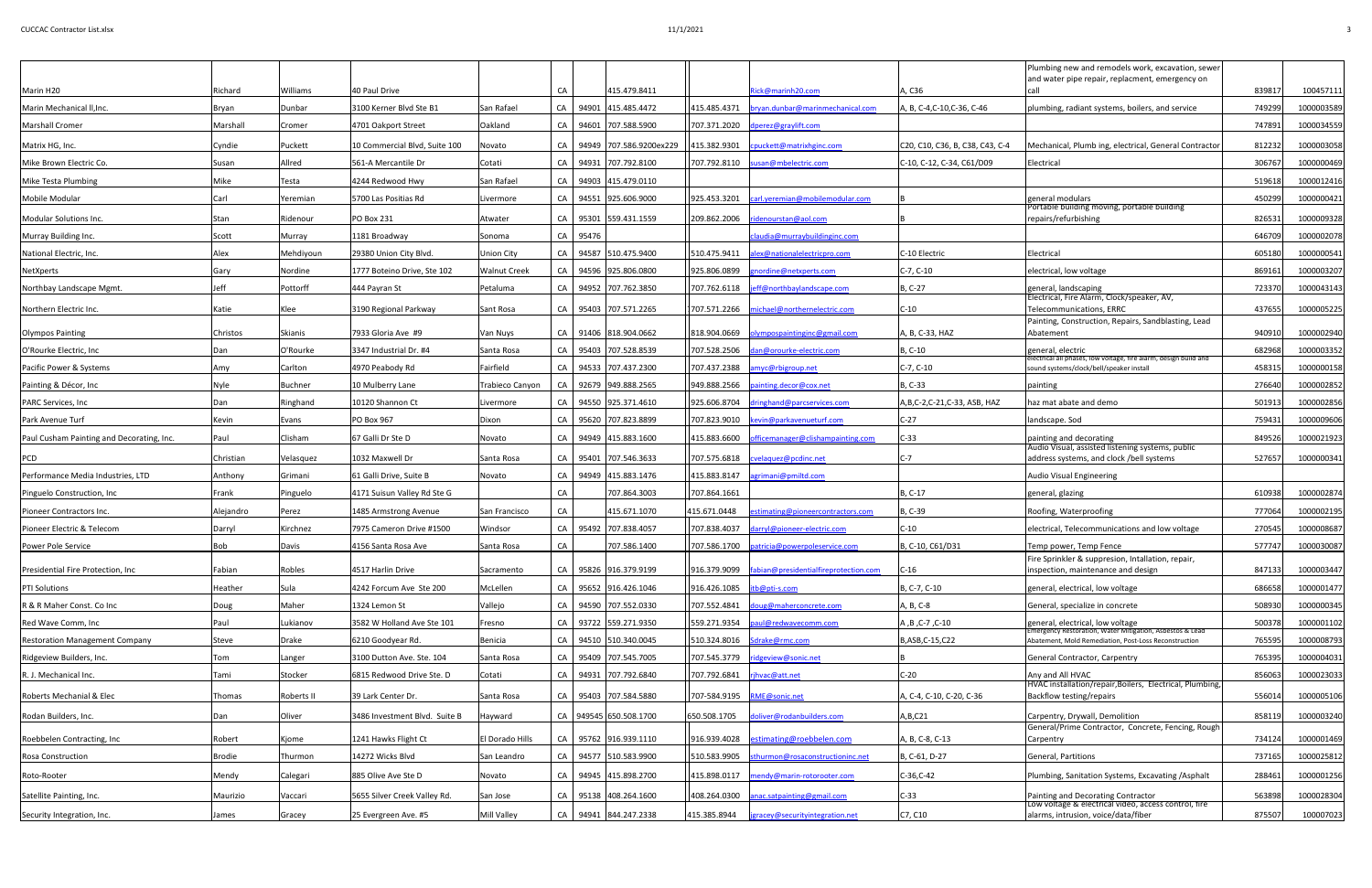| Marin H <sub>20</sub>                     | Richard         | Williams          | 40 Paul Drive                 |                     | CA |          | 415.479.8411               |                            | Rick@marinh20.com                                    | A, C36                          | Plumbing new and remodels work, excavation, sewer<br>and water pipe repair, replacment, emergency on              | 839817 | 100457111  |
|-------------------------------------------|-----------------|-------------------|-------------------------------|---------------------|----|----------|----------------------------|----------------------------|------------------------------------------------------|---------------------------------|-------------------------------------------------------------------------------------------------------------------|--------|------------|
| Marin Mechanical II, Inc.                 | Bryan           | Dunbar            | 3100 Kerner Blvd Ste B1       | San Rafael          |    |          | CA 94901 415.485.4472      |                            | 415.485.4371 bryan.dunbar@marinmechanical.com        | A, B, C-4, C-10, C-36, C-46     | plumbing, radiant systems, boilers, and service                                                                   | 74929  | 1000003589 |
| Marshall Cromer                           | Marshall        | Cromer            | 4701 Oakport Street           | Oakland             |    |          | CA   94601   707.588.5900  |                            | 707.371.2020 dperez@graylift.com                     |                                 |                                                                                                                   | 74789  | 1000034559 |
|                                           |                 |                   |                               |                     |    |          |                            |                            |                                                      |                                 |                                                                                                                   |        |            |
| Matrix HG, Inc.                           | Cyndie          | Puckett           | 10 Commercial Blvd, Suite 100 | Novato              |    |          | CA 94949 707.586.9200ex229 |                            | 415.382.9301 cpuckett@matrixhginc.com                | C20, C10, C36, B, C38, C43, C-4 | Mechanical, Plumb ing, electrical, General Contractor                                                             | 812232 | 1000003058 |
| Mike Brown Electric Co.                   | Susan           | Allred            | 561-A Mercantile Dr           | Cotati              |    |          | CA 94931 707.792.8100      |                            | 707.792.8110  susan@mbelectric.com                   | C-10, C-12, C-34, C61/D09       | Electrical                                                                                                        | 306767 | 1000000469 |
| Mike Testa Plumbing                       | Mike            | Testa             | 4244 Redwood Hwy              | San Rafael          |    |          | CA   94903 415.479.0110    |                            |                                                      |                                 |                                                                                                                   | 519618 | 1000012416 |
| Mobile Modular                            | Carl            | Yeremian          | 5700 Las Positias Rd          | Livermore           |    |          | CA   94551 925.606.9000    | 925.453.3201               | carl.yeremian@mobilemodular.com                      |                                 | general modulars<br>Portable building moving, portable building                                                   | 450299 | 1000000421 |
| Modular Solutions Inc.                    | Stan            | Ridenour          | <b>PO Box 231</b>             | Atwater             |    |          | CA 95301 559.431.1559      |                            | 209.862.2006 ridenourstan@aol.com                    |                                 | repairs/refurbishing                                                                                              | 82653  | 1000009328 |
| Murray Building Inc.                      | Scott           | Murray            | 1181 Broadway                 | Sonoma              |    | CA 95476 |                            |                            | claudia@murraybuildinginc.com                        |                                 |                                                                                                                   | 64670  | 1000002078 |
| National Electric, Inc.                   | Alex            | Mehdiyoun         | 29380 Union City Blvd.        | Union City          |    |          | CA 94587 510.475.9400      |                            | 510.475.9411 alex@nationalelectricpro.com            | C-10 Electric                   | Electrical                                                                                                        | 605180 | 1000000541 |
| NetXperts                                 | Gary            | Nordine           | 1777 Boteino Drive, Ste 102   | <b>Walnut Creek</b> |    |          | CA 94596 925.806.0800      | 925.806.0899               | gnordine@netxperts.com                               | $C-7, C-10$                     | electrical, low voltage                                                                                           | 869161 | 1000003207 |
| Northbay Landscape Mgmt.                  | Jeff            | Pottorff          | 444 Payran St                 | Petaluma            |    |          | CA 94952 707.762.3850      |                            | 707.762.6118  jeff@northbaylandscape.com             | B, C-27                         | general, landscaping<br>Electrical, Fire Alarm, Clock/speaker, AV,                                                | 723370 | 1000043143 |
| Northern Electric Inc.                    | Katie           | Klee              | 3190 Regional Parkway         | Sant Rosa           |    |          | CA 95403 707.571.2265      |                            | 1707.571.2266   michael@northernelectric.com         | $C-10$                          | Telecommunications, ERRC                                                                                          | 437655 | 1000005225 |
|                                           |                 |                   |                               |                     |    |          |                            |                            |                                                      |                                 | Painting, Construction, Repairs, Sandblasting, Lead                                                               |        |            |
| Olympos Painting                          | <b>Christos</b> | <b>Skianis</b>    | 7933 Gloria Ave #9            | Van Nuys            |    |          | CA 91406 818.904.0662      |                            |                                                      | A, B, C-33, HAZ                 | Abatement                                                                                                         | 940910 | 1000002940 |
| O'Rourke Electric, Inc                    | Dan             | O'Rourke          | 3347 Industrial Dr. #4        | Santa Rosa          |    |          | CA 95403 707.528.8539      |                            | 707.528.2506 dan@orourke-electric.com                | B, C-10                         | general, electric<br>electrical all phases, low voltage, fire alarm, design build and                             | 682968 | 1000003352 |
| Pacific Power & Systems                   | Amy             | Carlton           | 4970 Peabody Rd               | Fairfield           |    |          | CA   94533 707.437.2300    | 707.437.2388               | amyc@rbigroup.net                                    | $C-7, C-10$                     | sound systems/clock/bell/speaker install                                                                          | 458315 | 1000000158 |
| Painting & Décor, Inc                     | Nyle            | Buchner           | 10 Mulberry Lane              | Trabieco Canyon     |    |          | CA 92679 949.888.2565      |                            | 949.888.2566  painting.decor@cox.net                 | B, C-33                         | painting                                                                                                          | 276640 | 1000002852 |
| <b>PARC Services, Inc.</b>                | Dan             | Ringhand          | 10120 Shannon Ct              | Livermore           |    |          | CA 94550 925.371.4610      |                            | 925.606.8704 dringhand@parcservices.com              | A, B, C-2, C-21, C-33, ASB, HAZ | haz mat abate and demo                                                                                            | 501913 | 1000002856 |
| Park Avenue Turf                          | Kevin           | Evans             | PO Box 967                    | Dixon               |    |          | CA 95620 707.823.8899      |                            | 707.823.9010 kevin@parkavenueturf.com                | $C-27$                          | landscape. Sod                                                                                                    | 75943  | 1000009606 |
| Paul Cusham Painting and Decorating, Inc. | Paul            | Clisham           | 67 Galli Dr Ste D             | Novato              |    |          | CA 94949 415.883.1600      | 415.883.6600               | officemanager@clishampainting.com                    | $C-33$                          | painting and decorating<br>Audio Visual, assisted listening systems, public                                       | 849526 | 1000021923 |
| PCD                                       | Christian       | Velasquez         | 1032 Maxwell Dr               | Santa Rosa          | CA |          | 95401 707.546.3633         |                            | 707.575.6818  cvelaquez@pcdinc.net                   | C-7                             | address systems, and clock /bell systems                                                                          | 527657 | 1000000341 |
| Performance Media Industries, LTD         | Anthony         | Grimani           | 61 Galli Drive, Suite B       | Novato              |    |          | CA   94949 415.883.1476    | 415.883.8147               | agrimani@pmiltd.com                                  |                                 | Audio Visual Engineering                                                                                          |        |            |
| Pinguelo Construction, Inc                | Frank           | Pinguelo          | 4171 Suisun Valley Rd Ste G   |                     | CA |          | 707.864.3003               | 707.864.1661               |                                                      | B, C-17                         | general, glazing                                                                                                  | 610938 | 1000002874 |
| Pioneer Contractors Inc.                  | Alejandro       | Perez             | 1485 Armstrong Avenue         | San Francisco       | CA |          | 415.671.1070               | 415.671.0448               | stimating@pioneercontractors.com                     | B, C-39                         | Roofing, Waterproofing                                                                                            | 77706  | 1000002195 |
| Pioneer Electric & Telecom                | Darryl          | Kirchnez          | 7975 Cameron Drive #1500      | Windsor             |    |          | CA   95492 707.838.4057    | 707.838.4037               | darryl@pioneer-electric.com                          | $C-10$                          | electrical, Telecommunications and low voltage                                                                    | 270545 | 1000008687 |
| <b>Power Pole Service</b>                 | Bob             | Davis             | 4156 Santa Rosa Ave           | Santa Rosa          | CA |          | 707.586.1400               |                            | 707.586.1700  patricia@powerpoleservice.com          | B, C-10, C61/D31                | Temp power, Temp Fence                                                                                            | 577747 | 1000030087 |
| Presidential Fire Protection, Inc.        | Fabian          | Robles            | 4517 Harlin Drive             | Sacramento          |    |          | CA 95826 916.379.9199      |                            | 916.379.9099   fabian@presidentialfireprotection.com | $C-16$                          | Fire Sprinkler & suppresion, Intallation, repair,<br>inspection, maintenance and design                           | 847133 | 1000003447 |
| <b>PTI Solutions</b>                      | Heather         | Sula              | 4242 Forcum Ave Ste 200       | McLellen            |    |          | CA 95652 916.426.1046      | 916.426.1085               | itb@pti-s.com                                        | B, C-7, C-10                    | general, electrical, low voltage                                                                                  | 686658 | 1000001477 |
| R & R Maher Const. Co Inc                 | Doug            | Maher             | 1324 Lemon St                 | Vallejo             |    |          | CA 94590 707.552.0330      |                            | 707.552.4841 doug@maherconcrete.com                  | A, B, C-8                       | General, specialize in concrete                                                                                   | 508930 | 1000000345 |
| Red Wave Comm, Inc                        | Paul            | Lukianov          | 3582 W Holland Ave Ste 101    | Fresno              |    |          | CA 93722 559.271.9350      | 559.271.9354               | paul@redwavecomm.com                                 | A, B, C-7, C-10                 | general, electrical, low voltage                                                                                  | 50037  | 1000001102 |
| <b>Restoration Management Company</b>     | <b>Steve</b>    | Drake             | 6210 Goodyear Rd.             | Benicia             |    |          | CA 94510 510.340.0045      |                            | 510.324.8016 Sdrake@rmc.com                          | B,ASB,C-15,C22                  | Emergency Restoration, Water Mitigation, Asbestos & Lead<br>Abatement, Mold Remediation, Post-Loss Reconstruction | 76559  | 1000008793 |
| Ridgeview Builders, Inc.                  | Tom             | Langer            | 3100 Dutton Ave. Ste. 104     | Santa Rosa          |    |          | CA 95409 707.545.7005      | 707.545.3779               | idgeview@sonic.net                                   |                                 | General Contractor, Carpentry                                                                                     | 76539  | 1000004031 |
| R. J. Mechanical Inc.                     | Tami            | Stocker           | 6815 Redwood Drive Ste. D     | Cotati              |    |          | CA 94931 707.792.6840      | 707.792.6841               | rjhvac@att.net                                       | $C-20$                          | Any and All HVAC                                                                                                  | 85606  | 1000023033 |
| <b>Roberts Mechanial &amp; Elec</b>       | Thomas          | <b>Roberts II</b> | 39 Lark Center Dr.            | Santa Rosa          |    |          | CA   95403 707.584.5880    | 707-584.9195 RME@sonic.net |                                                      | A, C-4, C-10, C-20, C-36        | HVAC installation/repair, Boilers, Electrical, Plumbing,<br>Backflow testing/repairs                              | 556014 | 1000005106 |
| Rodan Builders, Inc.                      | Dan             | Oliver            | 3486 Investment Blvd. Suite B | Hayward             |    |          | CA 949545 650.508.1700     |                            | 650.508.1705 doliver@rodanbuilders.com               | A, B, C21                       | Carpentry, Drywall, Demolition                                                                                    | 858119 | 1000003240 |
| Roebbelen Contracting, Inc                | Robert          | Kjome             | 1241 Hawks Flight Ct          | El Dorado Hills     |    |          | CA   95762 916.939.1110    |                            | 916.939.4028 estimating@roebbelen.com                | A, B, C-8, C-13                 | General/Prime Contractor, Concrete, Fencing, Rough<br><b>Carpentry</b>                                            | 734124 | 1000001469 |
| <b>Rosa Construction</b>                  | <b>Brodie</b>   | Thurmon           | 14272 Wicks Blvd              | San Leandro         |    |          | CA 94577 510.583.9900      |                            | 510.583.9905 sthurmon@rosaconstructioninc.net        | B, C-61, D-27                   | General, Partitions                                                                                               | 73716  | 1000025812 |
|                                           |                 |                   |                               |                     |    |          |                            |                            |                                                      |                                 |                                                                                                                   |        |            |
| Roto-Rooter                               | Mendy           | Calegari          | 885 Olive Ave Ste D           | Novato              |    |          | CA 94945 415.898.2700      |                            | 415.898.0117 mendy@marin-rotorooter.com              | C-36, C-42                      | Plumbing, Sanitation Systems, Excavating / Asphalt                                                                | 288461 | 1000001256 |
| Satellite Painting, Inc.                  | Maurizio        | Vaccari           | 5655 Silver Creek Valley Rd.  | San Jose            |    |          | CA 95138 408.264.1600      |                            | 408.264.0300 anac.satpainting@gmail.com              | $C-33$                          | Painting and Decorating Contractor<br>Low voltage & electrical video, access control, fire                        | 563898 | 1000028304 |
| Security Integration, Inc.                | James           | Gracey            | 25 Evergreen Ave. #5          | Mill Valley         |    |          | CA 94941 844.247.2338      | 415.385.8944               | jgracey@securityintegration.net                      | C7, C10                         | alarms, intrusion, voice/data/fiber                                                                               | 875507 | 100007023  |